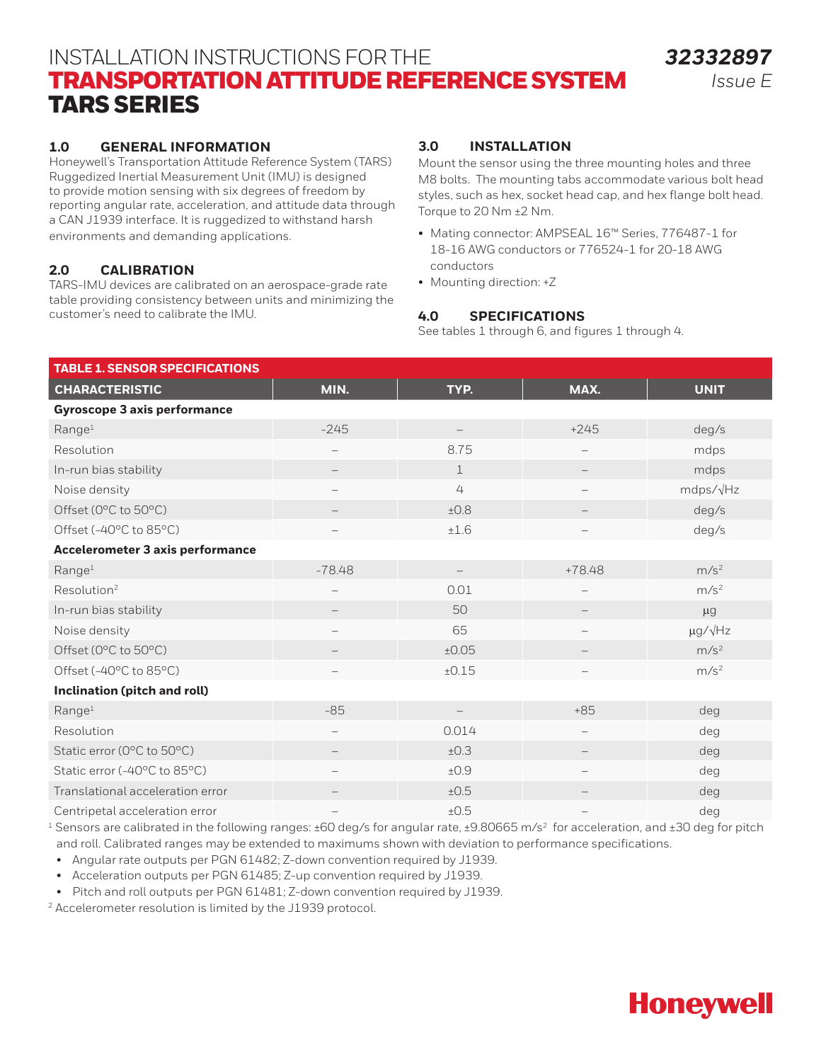# INSTALLATION INSTRUCTIONS FOR THE TRANSPORTATION ATTITUDE REFERENCE SYSTEM TARS SERIES

## **1.0 GENERAL INFORMATION**

Honeywell's Transportation Attitude Reference System (TARS) Ruggedized Inertial Measurement Unit (IMU) is designed to provide motion sensing with six degrees of freedom by reporting angular rate, acceleration, and attitude data through a CAN J1939 interface. It is ruggedized to withstand harsh environments and demanding applications.

## **2.0 CALIBRATION**

TARS-IMU devices are calibrated on an aerospace-grade rate table providing consistency between units and minimizing the customer's need to calibrate the IMU.

### **3.0 INSTALLATION**

Mount the sensor using the three mounting holes and three M8 bolts. The mounting tabs accommodate various bolt head styles, such as hex, socket head cap, and hex flange bolt head. Torque to 20 Nm ±2 Nm.

- Mating connector: AMPSEAL 16™ Series, 776487-1 for 18-16 AWG conductors or 776524-1 for 20-18 AWG conductors
- Mounting direction: +Z

### **4.0 SPECIFICATIONS**

See tables 1 through 6, and figures 1 through 4.

| <b>TABLE 1. SENSOR SPECIFICATIONS</b>   |                          |             |                          |                      |
|-----------------------------------------|--------------------------|-------------|--------------------------|----------------------|
| <b>CHARACTERISTIC</b>                   | MIN.                     | TYP.        | MAX.                     | <b>UNIT</b>          |
| <b>Gyroscope 3 axis performance</b>     |                          |             |                          |                      |
| Range <sup>1</sup>                      | $-245$                   |             | $+245$                   | deg/s                |
| Resolution                              | $\overline{\phantom{0}}$ | 8.75        |                          | mdps                 |
| In-run bias stability                   | $\overline{\phantom{m}}$ | $\mathbf 1$ | $\overline{\phantom{m}}$ | mdps                 |
| Noise density                           | $\overline{\phantom{0}}$ | 4           |                          | mdps/ $\sqrt{Hz}$    |
| Offset (0°C to 50°C)                    |                          | $+0.8$      |                          | deg/s                |
| Offset (-40°C to 85°C)                  |                          | ±1.6        |                          | deg/s                |
| <b>Accelerometer 3 axis performance</b> |                          |             |                          |                      |
| Range <sup>1</sup>                      | $-78.48$                 |             | $+78.48$                 | m/s <sup>2</sup>     |
| Resolution <sup>2</sup>                 | $\overline{\phantom{0}}$ | 0.01        |                          | m/s <sup>2</sup>     |
| In-run bias stability                   |                          | 50          |                          | $\mu$ g              |
| Noise density                           | $\overline{\phantom{0}}$ | 65          |                          | $\mu$ g/ $\sqrt{Hz}$ |
| Offset (0°C to 50°C)                    |                          | ±0.05       |                          | m/s <sup>2</sup>     |
| Offset (-40°C to 85°C)                  |                          | ±0.15       |                          | m/s <sup>2</sup>     |
| Inclination (pitch and roll)            |                          |             |                          |                      |
| Range <sup>1</sup>                      | $-85$                    |             | $+85$                    | deg                  |
| Resolution                              | $\overline{\phantom{0}}$ | 0.014       |                          | deg                  |
| Static error (0°C to 50°C)              | $\overline{\phantom{m}}$ | ±0.3        | $\overline{\phantom{m}}$ | deg                  |
| Static error (-40°C to 85°C)            |                          | ±0.9        | $\qquad \qquad -$        | deg                  |
| Translational acceleration error        |                          | ±0.5        |                          | deg                  |
| Centripetal acceleration error          |                          | ±0.5        |                          | deg                  |

<sup>1</sup> Sensors are calibrated in the following ranges: ±60 deg/s for angular rate, ±9.80665 m/s<sup>2</sup> for acceleration, and ±30 deg for pitch and roll. Calibrated ranges may be extended to maximums shown with deviation to performance specifications.

• Angular rate outputs per PGN 61482; Z-down convention required by J1939.

• Acceleration outputs per PGN 61485; Z-up convention required by J1939.

• Pitch and roll outputs per PGN 61481; Z-down convention required by J1939.

2 Accelerometer resolution is limited by the J1939 protocol.

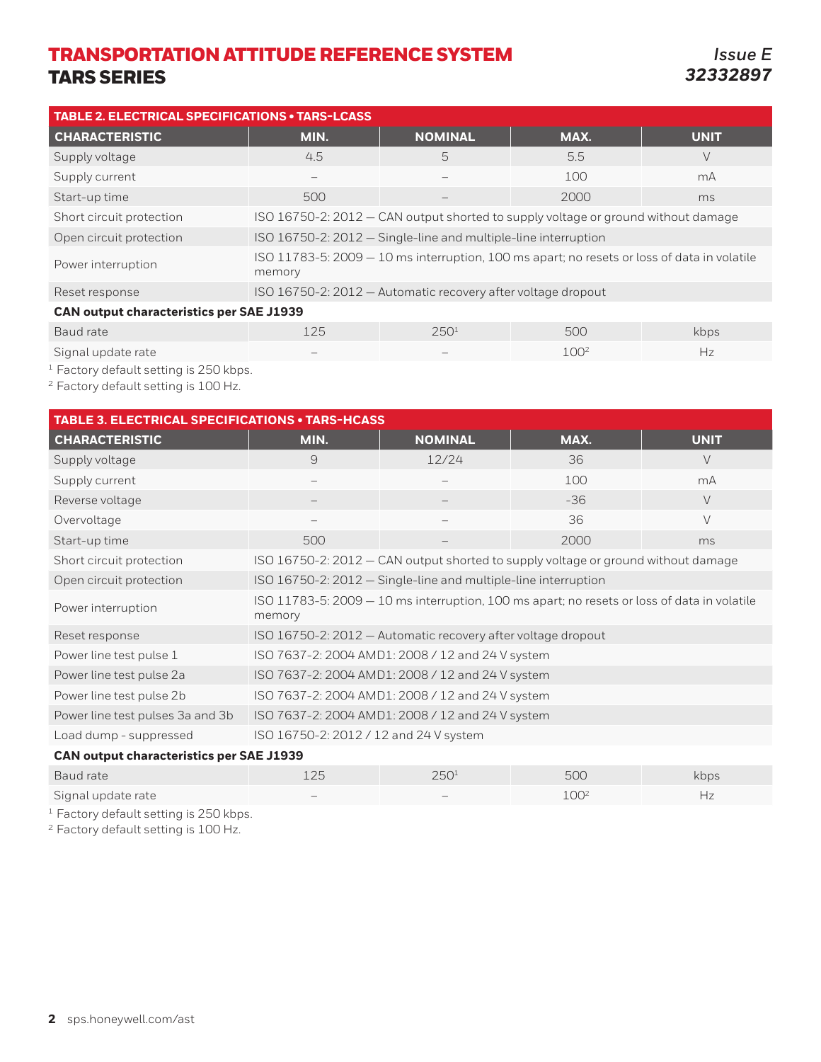*Issue E 32332897*

| <b>TABLE 2. ELECTRICAL SPECIFICATIONS • TARS-LCASS</b> |                                                                                   |                                                                |                                                                                             |             |  |  |  |  |  |
|--------------------------------------------------------|-----------------------------------------------------------------------------------|----------------------------------------------------------------|---------------------------------------------------------------------------------------------|-------------|--|--|--|--|--|
| <b>CHARACTERISTIC</b>                                  | MIN.                                                                              | <b>NOMINAL</b>                                                 | MAX.                                                                                        | <b>UNIT</b> |  |  |  |  |  |
| Supply voltage                                         | 4.5                                                                               | 5.5                                                            | V                                                                                           |             |  |  |  |  |  |
| Supply current                                         |                                                                                   | mA                                                             |                                                                                             |             |  |  |  |  |  |
| Start-up time                                          | 2000<br>500<br>ms                                                                 |                                                                |                                                                                             |             |  |  |  |  |  |
| Short circuit protection                               | ISO 16750-2: 2012 – CAN output shorted to supply voltage or ground without damage |                                                                |                                                                                             |             |  |  |  |  |  |
| Open circuit protection                                |                                                                                   | ISO 16750-2: 2012 - Single-line and multiple-line interruption |                                                                                             |             |  |  |  |  |  |
| Power interruption                                     | memory                                                                            |                                                                | ISO 11783-5: 2009 - 10 ms interruption, 100 ms apart; no resets or loss of data in volatile |             |  |  |  |  |  |
| Reset response                                         |                                                                                   | ISO 16750-2: 2012 - Automatic recovery after voltage dropout   |                                                                                             |             |  |  |  |  |  |
| <b>CAN output characteristics per SAE J1939</b>        |                                                                                   |                                                                |                                                                                             |             |  |  |  |  |  |
| Baud rate                                              | 125                                                                               | 250 <sup>1</sup>                                               | 500                                                                                         | kbps        |  |  |  |  |  |

Signal update rate and the state of the state of  $\sim$   $100^2$  Hz

<sup>1</sup> Factory default setting is 250 kbps.

<sup>2</sup> Factory default setting is 100 Hz.

| <b>TABLE 3. ELECTRICAL SPECIFICATIONS • TARS-HCASS</b> |                                                 |                                                                                             |      |             |  |  |  |  |  |  |  |  |
|--------------------------------------------------------|-------------------------------------------------|---------------------------------------------------------------------------------------------|------|-------------|--|--|--|--|--|--|--|--|
| <b>CHARACTERISTIC</b>                                  | MIN.                                            | <b>NOMINAL</b>                                                                              | MAX. | <b>UNIT</b> |  |  |  |  |  |  |  |  |
| Supply voltage                                         | 9                                               | 12/24                                                                                       | 36   | $\vee$      |  |  |  |  |  |  |  |  |
| Supply current                                         |                                                 |                                                                                             | 100  | mA          |  |  |  |  |  |  |  |  |
| Reverse voltage                                        |                                                 | $-36$                                                                                       |      |             |  |  |  |  |  |  |  |  |
| Overvoltage                                            |                                                 | 36<br>$\vee$                                                                                |      |             |  |  |  |  |  |  |  |  |
| Start-up time                                          | 500                                             |                                                                                             | 2000 | ms          |  |  |  |  |  |  |  |  |
| Short circuit protection                               |                                                 | ISO 16750-2: 2012 - CAN output shorted to supply voltage or ground without damage           |      |             |  |  |  |  |  |  |  |  |
| Open circuit protection                                |                                                 | ISO 16750-2: 2012 - Single-line and multiple-line interruption                              |      |             |  |  |  |  |  |  |  |  |
| Power interruption                                     | memory                                          | ISO 11783-5: 2009 - 10 ms interruption, 100 ms apart; no resets or loss of data in volatile |      |             |  |  |  |  |  |  |  |  |
| Reset response                                         |                                                 | ISO 16750-2: 2012 - Automatic recovery after voltage dropout                                |      |             |  |  |  |  |  |  |  |  |
| Power line test pulse 1                                |                                                 | ISO 7637-2: 2004 AMD1: 2008 / 12 and 24 V system                                            |      |             |  |  |  |  |  |  |  |  |
| Power line test pulse 2a                               |                                                 | ISO 7637-2: 2004 AMD1: 2008 / 12 and 24 V system                                            |      |             |  |  |  |  |  |  |  |  |
| Power line test pulse 2b                               |                                                 | ISO 7637-2: 2004 AMD1: 2008 / 12 and 24 V system                                            |      |             |  |  |  |  |  |  |  |  |
| Power line test pulses 3a and 3b                       |                                                 | ISO 7637-2: 2004 AMD1: 2008 / 12 and 24 V system                                            |      |             |  |  |  |  |  |  |  |  |
| Load dump - suppressed                                 | ISO 16750-2: 2012 / 12 and 24 V system          |                                                                                             |      |             |  |  |  |  |  |  |  |  |
|                                                        | <b>CAN output characteristics per SAE J1939</b> |                                                                                             |      |             |  |  |  |  |  |  |  |  |

| Baud rate          | つに                       | 250 <sup>1</sup> | 500              | kbps |
|--------------------|--------------------------|------------------|------------------|------|
| Signal update rate | $\overline{\phantom{a}}$ | $\sim$           | 100 <sup>2</sup> |      |

<sup>1</sup> Factory default setting is 250 kbps.

<sup>2</sup> Factory default setting is 100 Hz.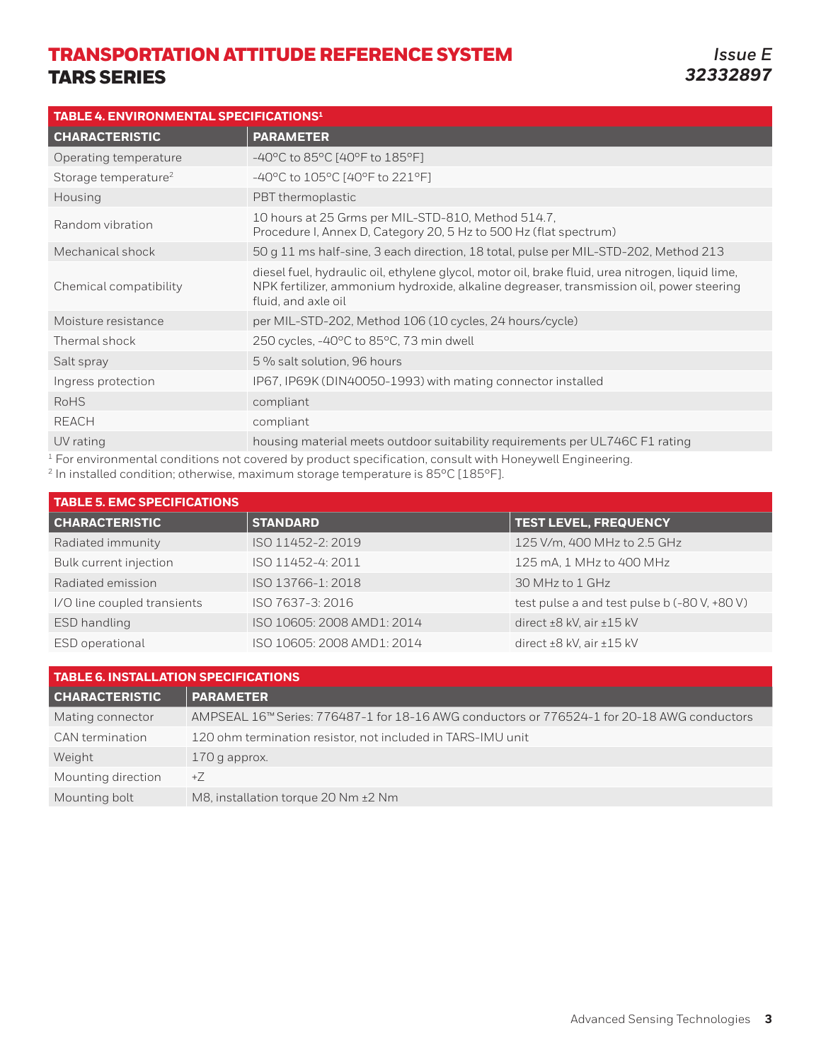| TABLE 4. ENVIRONMENTAL SPECIFICATIONS <sup>1</sup> |                                                                                                                                                                                                                     |  |  |  |  |  |  |  |  |  |
|----------------------------------------------------|---------------------------------------------------------------------------------------------------------------------------------------------------------------------------------------------------------------------|--|--|--|--|--|--|--|--|--|
| <b>CHARACTERISTIC</b>                              | <b>PARAMETER</b>                                                                                                                                                                                                    |  |  |  |  |  |  |  |  |  |
| Operating temperature                              | -40°C to 85°C [40°F to 185°F]                                                                                                                                                                                       |  |  |  |  |  |  |  |  |  |
| Storage temperature <sup>2</sup>                   | -40°C to 105°C [40°F to 221°F]                                                                                                                                                                                      |  |  |  |  |  |  |  |  |  |
| Housing                                            | PBT thermoplastic                                                                                                                                                                                                   |  |  |  |  |  |  |  |  |  |
| Random vibration                                   | 10 hours at 25 Grms per MIL-STD-810, Method 514.7,<br>Procedure I, Annex D, Category 20, 5 Hz to 500 Hz (flat spectrum)                                                                                             |  |  |  |  |  |  |  |  |  |
| Mechanical shock                                   | 50 g 11 ms half-sine, 3 each direction, 18 total, pulse per MIL-STD-202, Method 213                                                                                                                                 |  |  |  |  |  |  |  |  |  |
| Chemical compatibility                             | diesel fuel, hydraulic oil, ethylene glycol, motor oil, brake fluid, urea nitrogen, liquid lime,<br>NPK fertilizer, ammonium hydroxide, alkaline degreaser, transmission oil, power steering<br>fluid, and axle oil |  |  |  |  |  |  |  |  |  |
| Moisture resistance                                | per MIL-STD-202, Method 106 (10 cycles, 24 hours/cycle)                                                                                                                                                             |  |  |  |  |  |  |  |  |  |
| Thermal shock                                      | 250 cycles, -40°C to 85°C, 73 min dwell                                                                                                                                                                             |  |  |  |  |  |  |  |  |  |
| Salt spray                                         | 5 % salt solution, 96 hours                                                                                                                                                                                         |  |  |  |  |  |  |  |  |  |
| Ingress protection                                 | IP67, IP69K (DIN40050-1993) with mating connector installed                                                                                                                                                         |  |  |  |  |  |  |  |  |  |
| <b>RoHS</b>                                        | compliant                                                                                                                                                                                                           |  |  |  |  |  |  |  |  |  |
| <b>REACH</b>                                       | compliant                                                                                                                                                                                                           |  |  |  |  |  |  |  |  |  |
| UV rating                                          | housing material meets outdoor suitability requirements per UL746C F1 rating<br>بمعانيهم نشمت المبرورمورا لماشرينان بمعرم ومتشمع أأنمهم فمروا ومرجب والمعروب ومستحيره والمتحد والمتحد ومستحب والمستحدث              |  |  |  |  |  |  |  |  |  |

 $^{\rm 1}$  For environmental conditions not covered by product specification, consult with Honeywell Engineering.

 $^2$  In installed condition; otherwise, maximum storage temperature is 85°C [185°F].

| <b>TABLE 5. EMC SPECIFICATIONS</b> |                            |                                              |  |  |  |  |  |  |  |  |  |  |  |
|------------------------------------|----------------------------|----------------------------------------------|--|--|--|--|--|--|--|--|--|--|--|
| <b>CHARACTERISTIC</b>              | <b>STANDARD</b>            | <b>TEST LEVEL, FREQUENCY</b>                 |  |  |  |  |  |  |  |  |  |  |  |
| Radiated immunity                  | ISO 11452-2: 2019          | 125 V/m, 400 MHz to 2.5 GHz                  |  |  |  |  |  |  |  |  |  |  |  |
| Bulk current injection             | ISO 11452-4: 2011          | 125 mA, 1 MHz to 400 MHz                     |  |  |  |  |  |  |  |  |  |  |  |
| Radiated emission                  | ISO 13766-1: 2018          | 30 MHz to 1 GHz                              |  |  |  |  |  |  |  |  |  |  |  |
| I/O line coupled transients        | ISO 7637-3: 2016           | test pulse a and test pulse b (-80 V, +80 V) |  |  |  |  |  |  |  |  |  |  |  |
| ESD handling                       | ISO 10605: 2008 AMD1: 2014 | direct $\pm 8$ kV, air $\pm 15$ kV           |  |  |  |  |  |  |  |  |  |  |  |
| ESD operational                    | ISO 10605: 2008 AMD1: 2014 | direct $\pm 8$ kV, air $\pm 15$ kV           |  |  |  |  |  |  |  |  |  |  |  |

| <b>TABLE 6. INSTALLATION SPECIFICATIONS</b> |                                                                                            |  |  |  |  |  |  |  |  |  |
|---------------------------------------------|--------------------------------------------------------------------------------------------|--|--|--|--|--|--|--|--|--|
| <b>CHARACTERISTIC</b>                       | <b>PARAMETER</b>                                                                           |  |  |  |  |  |  |  |  |  |
| Mating connector                            | AMPSEAL 16™ Series: 776487-1 for 18-16 AWG conductors or 776524-1 for 20-18 AWG conductors |  |  |  |  |  |  |  |  |  |
| CAN termination                             | 120 ohm termination resistor, not included in TARS-IMU unit                                |  |  |  |  |  |  |  |  |  |
| Weight                                      | $170$ g approx.                                                                            |  |  |  |  |  |  |  |  |  |
| Mounting direction                          | $+7$                                                                                       |  |  |  |  |  |  |  |  |  |
| Mounting bolt                               | M8, installation torque 20 Nm ±2 Nm                                                        |  |  |  |  |  |  |  |  |  |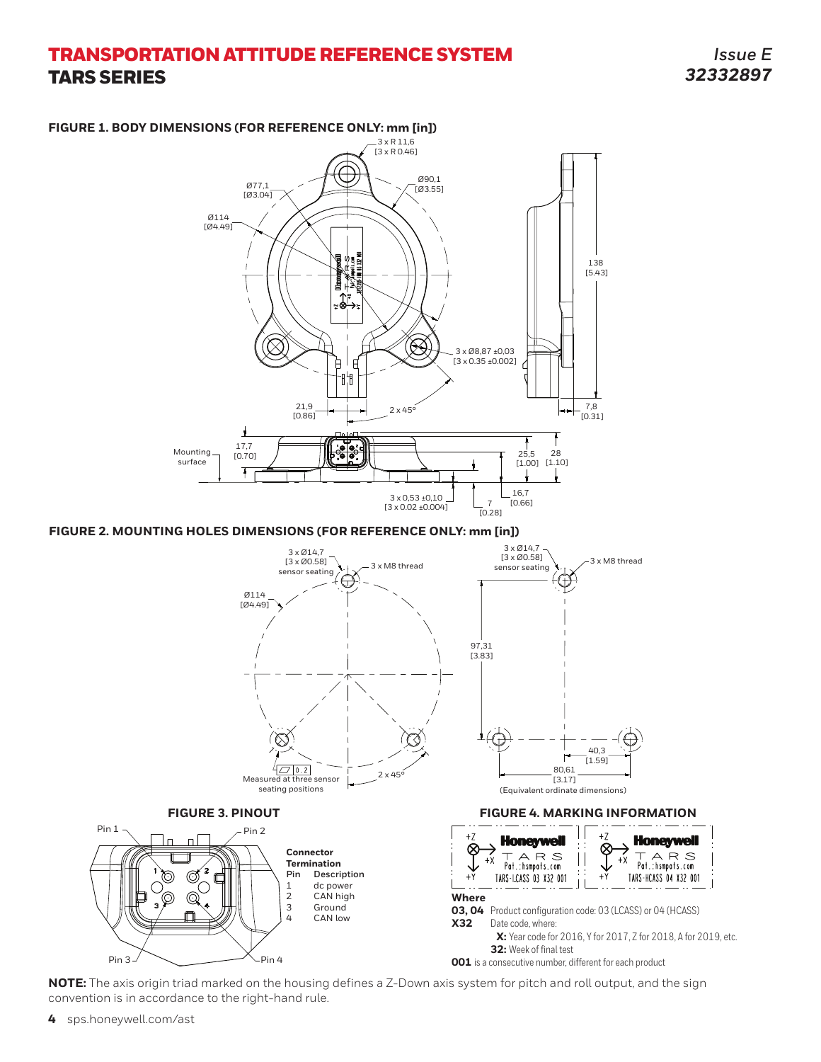*Issue E 32332897*







**NOTE:** The axis origin triad marked on the housing defines a Z-Down axis system for pitch and roll output, and the sign convention is in accordance to the right-hand rule.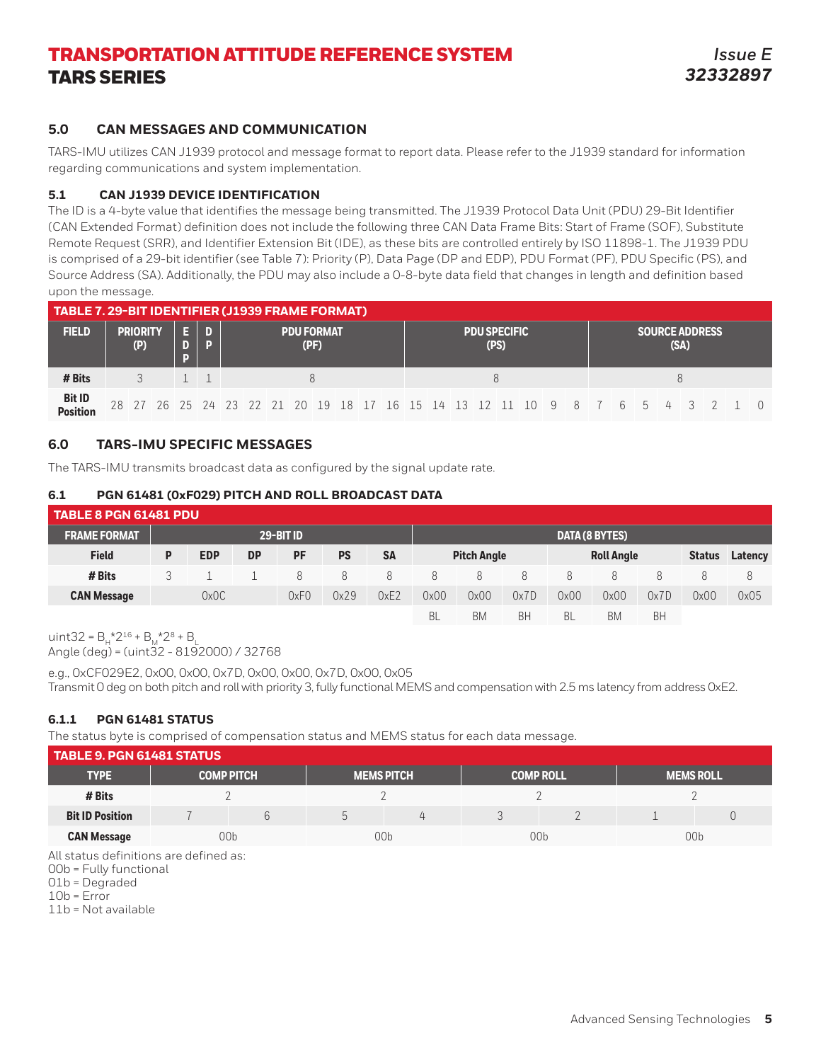### **5.0 CAN MESSAGES AND COMMUNICATION**

TARS-IMU utilizes CAN J1939 protocol and message format to report data. Please refer to the J1939 standard for information regarding communications and system implementation.

### **5.1 CAN J1939 DEVICE IDENTIFICATION**

The ID is a 4-byte value that identifies the message being transmitted. The J1939 Protocol Data Unit (PDU) 29-Bit Identifier (CAN Extended Format) definition does not include the following three CAN Data Frame Bits: Start of Frame (SOF), Substitute Remote Request (SRR), and Identifier Extension Bit (IDE), as these bits are controlled entirely by ISO 11898-1. The J1939 PDU is comprised of a 29-bit identifier (see Table 7): Priority (P), Data Page (DP and EDP), PDU Format (PF), PDU Specific (PS), and Source Address (SA). Additionally, the PDU may also include a 0-8-byte data field that changes in length and definition based upon the message.

| TABLE 7. 29-BIT IDENTIFIER (J1939 FRAME FORMAT) |  |                        |  |  |   |  |  |  |                           |  |  |  |  |                             |  |  |  |                               |  |  |  |  |  |  |                                                                            |  |
|-------------------------------------------------|--|------------------------|--|--|---|--|--|--|---------------------------|--|--|--|--|-----------------------------|--|--|--|-------------------------------|--|--|--|--|--|--|----------------------------------------------------------------------------|--|
| <b>FIELD</b>                                    |  | <b>PRIORITY</b><br>(P) |  |  | n |  |  |  | <b>PDU FORMAT</b><br>(PF) |  |  |  |  | <b>PDU SPECIFIC</b><br>(PS) |  |  |  | <b>SOURCE ADDRESS</b><br>(SA) |  |  |  |  |  |  |                                                                            |  |
| # Bits                                          |  |                        |  |  |   |  |  |  |                           |  |  |  |  |                             |  |  |  | 8                             |  |  |  |  |  |  |                                                                            |  |
| Bit ID<br>Position                              |  |                        |  |  |   |  |  |  |                           |  |  |  |  |                             |  |  |  |                               |  |  |  |  |  |  | 28 27 26 25 24 23 22 21 20 19 18 17 16 15 14 13 12 11 10 9 8 7 6 5 4 3 2 1 |  |

### **6.0 TARS-IMU SPECIFIC MESSAGES**

The TARS-IMU transmits broadcast data as configured by the signal update rate.

### **6.1 PGN 61481 (0xF029) PITCH AND ROLL BROADCAST DATA**

| <b>TABLE 8 PGN 61481 PDU</b> |   |            |           |           |                       |           |      |                                         |      |      |      |      |               |         |
|------------------------------|---|------------|-----------|-----------|-----------------------|-----------|------|-----------------------------------------|------|------|------|------|---------------|---------|
| <b>FRAME FORMAT</b>          |   |            |           |           | <b>DATA (8 BYTES)</b> |           |      |                                         |      |      |      |      |               |         |
| <b>Field</b>                 | P | <b>EDP</b> | <b>DP</b> | <b>PF</b> | <b>PS</b>             | <b>SA</b> |      | <b>Pitch Angle</b><br><b>Roll Angle</b> |      |      |      |      | <b>Status</b> | Latency |
| # Bits                       |   |            |           | 8         | 8                     | 8         | 8    | 8                                       | 8.   | 8    | 8    |      | 8             | 8       |
| <b>CAN Message</b>           |   | 0x0C       |           | 0xF0      | 0x29                  | 0xE2      | 0x00 | 0x00                                    | 0x7D | 0x00 | 0x00 | 0x7D | 0x00          | 0x05    |
|                              |   |            |           |           |                       |           | BL   | BM                                      | BH   | BL   | BM   | BH   |               |         |

uint32 =  $B_4^{\star}2^{16} + B_4^{\star}2^8 + B_1^{\star}$ Angle (deg) = (uint32 - 8192000) / 32768

e.g., 0xCF029E2, 0x00, 0x00, 0x7D, 0x00, 0x00, 0x7D, 0x00, 0x05 Transmit 0 deg on both pitch and roll with priority 3, fully functional MEMS and compensation with 2.5 ms latency from address 0xE2.

### **6.1.1 PGN 61481 STATUS**

The status byte is comprised of compensation status and MEMS status for each data message.

| <b>TABLE 9. PGN 61481 STATUS</b> |                   |  |  |                   |  |                  |                  |  |  |  |  |  |
|----------------------------------|-------------------|--|--|-------------------|--|------------------|------------------|--|--|--|--|--|
| <b>TYPE</b>                      | <b>COMP PITCH</b> |  |  | <b>MEMS PITCH</b> |  | <b>COMP ROLL</b> | <b>MEMS ROLL</b> |  |  |  |  |  |
| # Bits                           |                   |  |  |                   |  |                  |                  |  |  |  |  |  |
| <b>Bit ID Position</b>           |                   |  |  |                   |  |                  |                  |  |  |  |  |  |
| <b>CAN Message</b>               | 00 <sub>b</sub>   |  |  | 00b               |  | 00 <sub>b</sub>  | 00 <sub>b</sub>  |  |  |  |  |  |

All status definitions are defined as:

01b = Degraded

 $10b = Error$ 

11b = Not available

<sup>00</sup>b = Fully functional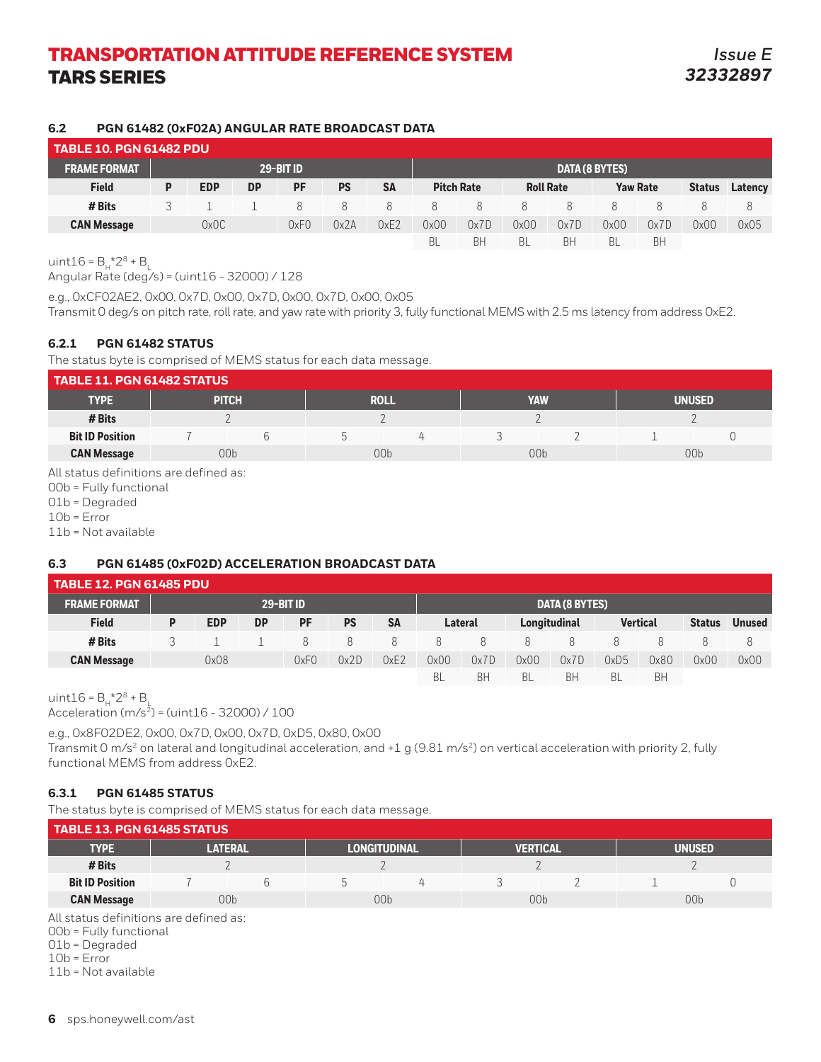### **6.2 PGN 61482 (0xF02A) ANGULAR RATE BROADCAST DATA**

|                     | ' TABLE 10. PGN 61482 PDU. |            |           |           |           |           |           |                   |           |                       |                 |           |               |         |
|---------------------|----------------------------|------------|-----------|-----------|-----------|-----------|-----------|-------------------|-----------|-----------------------|-----------------|-----------|---------------|---------|
| <b>FRAME FORMAT</b> |                            |            |           | 29-BIT ID |           |           |           |                   |           | <b>DATA (8 BYTES)</b> |                 |           |               |         |
| <b>Field</b>        | P                          | <b>EDP</b> | <b>DP</b> | PF        | <b>PS</b> | <b>SA</b> |           | <b>Pitch Rate</b> |           | <b>Roll Rate</b>      | <b>Yaw Rate</b> |           | <b>Status</b> | Latency |
| # Bits              |                            |            |           | 8         | 8         | 8         | 8         | 8                 | 8         | 8                     |                 |           |               | 8       |
| <b>CAN Message</b>  |                            | 0x0C       |           | 0xF0      | 0x2A      | 0xE2      | 0x00      | 0x7D              | 0x00      | 0x7D                  | 0x00            | 0x7D      | 0x00          | 0x05    |
|                     |                            |            |           |           |           |           | <b>BL</b> | BH                | <b>BL</b> | BH                    | <b>BL</b>       | <b>BH</b> |               |         |

uint $16 = B_{\mu} \times 2^8 + B_{\mu}$ 

Angular Rate (deg/s) = (uint16 - 32000) / 128

e.g., 0xCF02AE2, 0x00, 0x7D, 0x00, 0x7D, 0x00, 0x7D, 0x00, 0x05

Transmit 0 deg/s on pitch rate, roll rate, and yaw rate with priority 3, fully functional MEMS with 2.5 ms latency from address 0xE2.

### **6.2.1 PGN 61482 STATUS**

The status byte is comprised of MEMS status for each data message.

| <b>TABLE 11. PGN 61482 STATUS</b> |                 |  |  |                 |  |                 |               |  |  |  |  |
|-----------------------------------|-----------------|--|--|-----------------|--|-----------------|---------------|--|--|--|--|
| <b>TYPE</b>                       | <b>PITCH</b>    |  |  | <b>ROLL</b>     |  | YAW             | <b>UNUSED</b> |  |  |  |  |
| # Bits                            |                 |  |  |                 |  |                 |               |  |  |  |  |
| <b>Bit ID Position</b>            |                 |  |  |                 |  |                 |               |  |  |  |  |
| <b>CAN Message</b>                | 00 <sub>b</sub> |  |  | 00 <sub>b</sub> |  | 00 <sub>b</sub> | 00b           |  |  |  |  |

All status definitions are defined as:

00b = Fully functional

01b = Degraded

10b = Error

11b = Not available

### **6.3 PGN 61485 (0xF02D) ACCELERATION BROADCAST DATA**

| <b>TABLE 12. PGN 61485 PDU</b> |           |            |           |      |           |                |      |                |      |              |           |                 |               |               |
|--------------------------------|-----------|------------|-----------|------|-----------|----------------|------|----------------|------|--------------|-----------|-----------------|---------------|---------------|
| <b>FRAME FORMAT</b>            | 29-BIT ID |            |           |      |           | DATA (8 BYTES) |      |                |      |              |           |                 |               |               |
| <b>Field</b>                   | D         | <b>EDP</b> | <b>DP</b> | PF   | <b>PS</b> | <b>SA</b>      |      | <b>Lateral</b> |      | Longitudinal |           | <b>Vertical</b> | <b>Status</b> | <b>Unused</b> |
| # Bits                         |           |            |           |      | 8         | 8              | 8    |                | 8    |              | Χ         | 8               |               | 8             |
| <b>CAN Message</b>             |           | 0x08       |           | 0xF0 | 0x2D      | 0xE2           | 0x00 | 0x7D           | 0x00 | 0x7D         | 0xD5      | 0x80            | 0x00          | 0x00          |
|                                |           |            |           |      |           |                | BL   | BH             | BL   | BH           | <b>BL</b> | BH              |               |               |

uint $16 = B_4*2^8 + B_1$ 

Acceleration (m/s2) = (uint16 - 32000) / 100

e.g., 0x8F02DE2, 0x00, 0x7D, 0x00, 0x7D, 0xD5, 0x80, 0x00 Transmit 0 m/s<sup>2</sup> on lateral and longitudinal acceleration, and +1 g (9.81 m/s<sup>2</sup>) on vertical acceleration with priority 2, fully functional MEMS from address 0xE2.

### **6.3.1 PGN 61485 STATUS**

The status byte is comprised of MEMS status for each data message.

| <b>TABLE 13. PGN 61485 STATUS</b> |                 |  |                     |  |                 |  |                 |  |
|-----------------------------------|-----------------|--|---------------------|--|-----------------|--|-----------------|--|
| <b>TYPE</b>                       | LATERAL         |  | <b>LONGITUDINAL</b> |  | <b>VERTICAL</b> |  | UNUSED          |  |
| # Bits                            |                 |  |                     |  |                 |  |                 |  |
| <b>Bit ID Position</b>            |                 |  |                     |  |                 |  |                 |  |
| <b>CAN Message</b>                | 00 <sub>b</sub> |  | 00 <sub>b</sub>     |  | 00b             |  | 00 <sub>b</sub> |  |

All status definitions are defined as:

00b = Fully functional

01b = Degraded

10b = Error

11b = Not available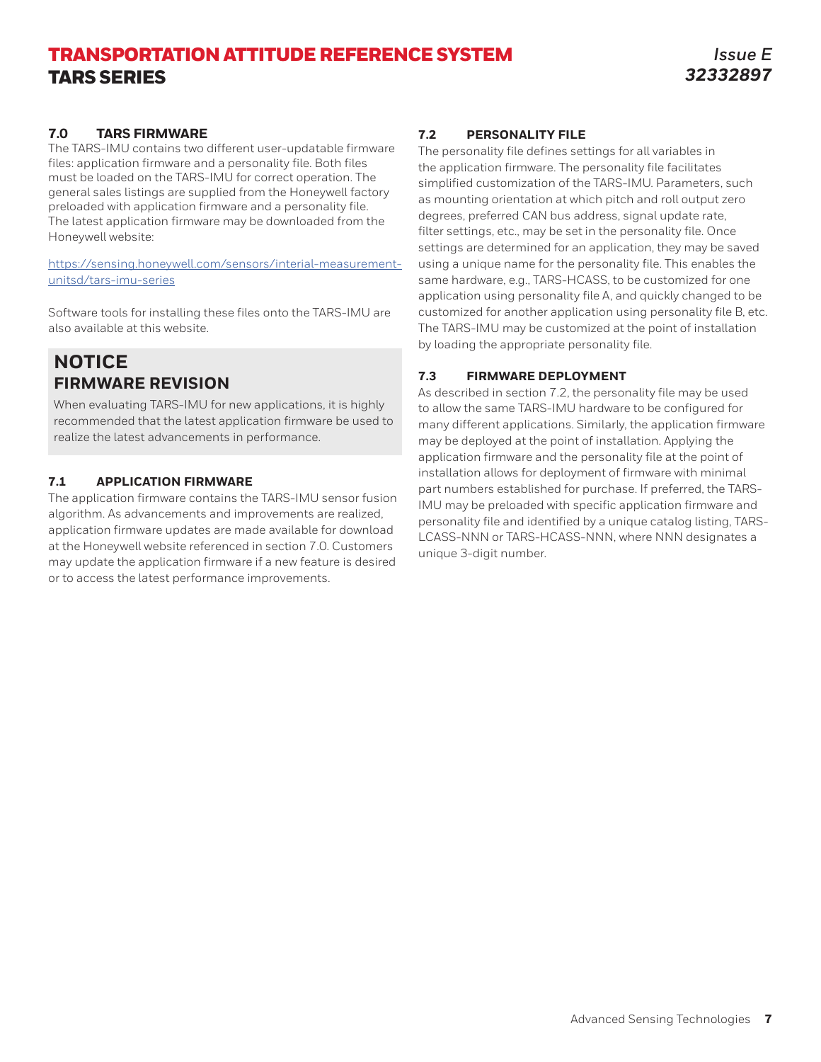### **7.0 TARS FIRMWARE**

The TARS-IMU contains two different user-updatable firmware files: application firmware and a personality file. Both files must be loaded on the TARS-IMU for correct operation. The general sales listings are supplied from the Honeywell factory preloaded with application firmware and a personality file. The latest application firmware may be downloaded from the Honeywell website[:](https://sensing.honeywell.com/sensors/inertial-measurement-unitsd/tars-imu-series)

[https://sensing.honeywell.com/sensors/interial-measurement](https://sensing.honeywell.com/sensors/inertial-measurement-unitsd/tars-imu-series)[unitsd/tars-imu-serie](https://sensing.honeywell.com/sensors/inertial-measurement-unitsd/tars-imu-series)s

Software tools for installing these files onto the TARS-IMU are also available at this website.

# **NOTICE FIRMWARE REVISION**

When evaluating TARS-IMU for new applications, it is highly recommended that the latest application firmware be used to realize the latest advancements in performance.

### **7.1 APPLICATION FIRMWARE**

The application firmware contains the TARS-IMU sensor fusion algorithm. As advancements and improvements are realized, application firmware updates are made available for download at the Honeywell website referenced in section 7.0. Customers may update the application firmware if a new feature is desired or to access the latest performance improvements.

### **7.2 PERSONALITY FILE**

The personality file defines settings for all variables in the application firmware. The personality file facilitates simplified customization of the TARS-IMU. Parameters, such as mounting orientation at which pitch and roll output zero degrees, preferred CAN bus address, signal update rate, filter settings, etc., may be set in the personality file. Once settings are determined for an application, they may be saved using a unique name for the personality file. This enables the same hardware, e.g., TARS-HCASS, to be customized for one application using personality file A, and quickly changed to be customized for another application using personality file B, etc. The TARS-IMU may be customized at the point of installation by loading the appropriate personality file.

### **7.3 FIRMWARE DEPLOYMENT**

As described in section 7.2, the personality file may be used to allow the same TARS-IMU hardware to be configured for many different applications. Similarly, the application firmware may be deployed at the point of installation. Applying the application firmware and the personality file at the point of installation allows for deployment of firmware with minimal part numbers established for purchase. If preferred, the TARS-IMU may be preloaded with specific application firmware and personality file and identified by a unique catalog listing, TARS-LCASS-NNN or TARS-HCASS-NNN, where NNN designates a unique 3-digit number.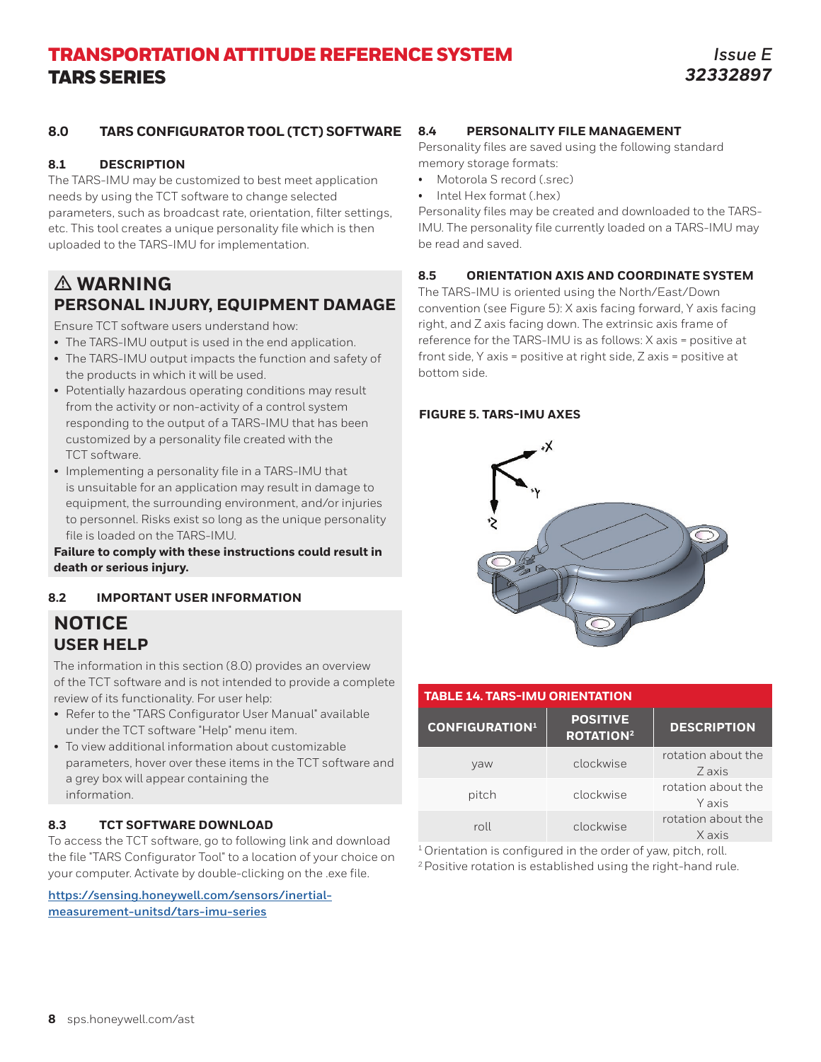### **8.0 TARS CONFIGURATOR TOOL (TCT) SOFTWARE**

### **8.1 DESCRIPTION**

The TARS-IMU may be customized to best meet application needs by using the TCT software to change selected parameters, such as broadcast rate, orientation, filter settings, etc. This tool creates a unique personality file which is then uploaded to the TARS-IMU for implementation.

# m **WARNING PERSONAL INJURY, EQUIPMENT DAMAGE**

Ensure TCT software users understand how:

- The TARS-IMU output is used in the end application.
- The TARS-IMU output impacts the function and safety of the products in which it will be used.
- Potentially hazardous operating conditions may result from the activity or non-activity of a control system responding to the output of a TARS-IMU that has been customized by a personality file created with the TCT software.
- Implementing a personality file in a TARS-IMU that is unsuitable for an application may result in damage to equipment, the surrounding environment, and/or injuries to personnel. Risks exist so long as the unique personality file is loaded on the TARS-IMU.

### **Failure to comply with these instructions could result in death or serious injury.**

### **8.2 IMPORTANT USER INFORMATION**

## **NOTICE USER HELP**

The information in this section (8.0) provides an overview of the TCT software and is not intended to provide a complete review of its functionality. For user help:

- Refer to the "TARS Configurator User Manual" available under the TCT software "Help" menu item.
- To view additional information about customizable parameters, hover over these items in the TCT software and a grey box will appear containing the information.

### **8.3 TCT SOFTWARE DOWNLOAD**

To access the TCT software, go to following link and download the file "TARS Configurator Tool" to a location of your choice on your computer. Activate by double-clicking on the .exe file.

**https://sensing.honeywell.com/sensors/inertialmeasurement-unitsd/tars-imu-series**

### **8.4 PERSONALITY FILE MANAGEMENT**

Personality files are saved using the following standard memory storage formats:

- Motorola S record (.srec)
- Intel Hex format (.hex)

Personality files may be created and downloaded to the TARS-IMU. The personality file currently loaded on a TARS-IMU may be read and saved.

### **8.5 ORIENTATION AXIS AND COORDINATE SYSTEM**

The TARS-IMU is oriented using the North/East/Down convention (see Figure 5): X axis facing forward, Y axis facing right, and Z axis facing down. The extrinsic axis frame of reference for the TARS-IMU is as follows: X axis = positive at front side, Y axis = positive at right side, Z axis = positive at bottom side.

### **FIGURE 5. TARS-IMU AXES**



| <b>TABLE 14. TARS-IMU ORIENTATION</b> |                                                |                              |  |  |  |  |  |  |
|---------------------------------------|------------------------------------------------|------------------------------|--|--|--|--|--|--|
| <b>CONFIGURATION<sup>1</sup></b>      | <b>POSITIVE</b><br><b>ROTATION<sup>2</sup></b> | <b>DESCRIPTION</b>           |  |  |  |  |  |  |
| vaw                                   | clockwise                                      | rotation about the<br>Z axis |  |  |  |  |  |  |
| pitch                                 | clockwise                                      | rotation about the<br>Y axis |  |  |  |  |  |  |
| roll                                  | clockwise                                      | rotation about the<br>X axis |  |  |  |  |  |  |
|                                       |                                                |                              |  |  |  |  |  |  |

 $1$  Orientation is configured in the order of yaw, pitch, roll.

<sup>2</sup> Positive rotation is established using the right-hand rule.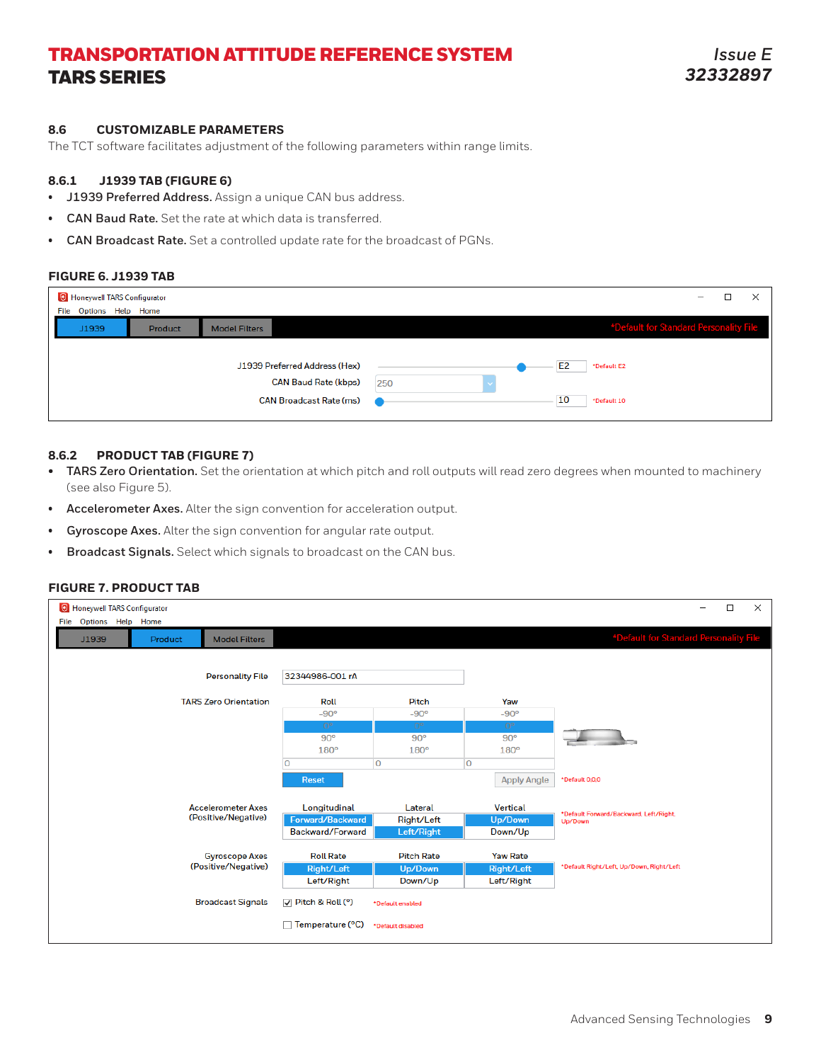#### **8.6 CUSTOMIZABLE PARAMETERS**

The TCT software facilitates adjustment of the following parameters within range limits.

#### **8.6.1 J1939 TAB (FIGURE 6)**

- **• J1939 Preferred Address.** Assign a unique CAN bus address.
- **• CAN Baud Rate.** Set the rate at which data is transferred.
- **• CAN Broadcast Rate.** Set a controlled update rate for the broadcast of PGNs.

#### **FIGURE 6. J1939 TAB**

| <sup>1</sup> Honeywell TARS Configurator |         |                                                                                                | -                                                         |
|------------------------------------------|---------|------------------------------------------------------------------------------------------------|-----------------------------------------------------------|
| Options Help Home<br>File                |         |                                                                                                |                                                           |
| J1939                                    | Product | <b>Model Filters</b>                                                                           | *Default for Standard Personality File                    |
|                                          |         | J1939 Preferred Address (Hex)<br><b>CAN Baud Rate (kbps)</b><br><b>CAN Broadcast Rate (ms)</b> | E <sub>2</sub><br>*Default E2<br>250<br>10<br>*Default 10 |

#### **8.6.2 PRODUCT TAB (FIGURE 7)**

- **• TARS Zero Orientation.** Set the orientation at which pitch and roll outputs will read zero degrees when mounted to machinery (see also Figure 5).
- **• Accelerometer Axes.** Alter the sign convention for acceleration output.
- **• Gyroscope Axes.** Alter the sign convention for angular rate output.
- **• Broadcast Signals.** Select which signals to broadcast on the CAN bus.

#### **FIGURE 7. PRODUCT TAB**

| <b>O</b> Honeywell TARS Configurator             |                                  |                       |                            | $\times$<br>$\Box$                       |  |  |
|--------------------------------------------------|----------------------------------|-----------------------|----------------------------|------------------------------------------|--|--|
| Options Help Home<br>File                        |                                  |                       |                            |                                          |  |  |
| J1939<br><b>Model Filters</b><br>Product         |                                  |                       |                            | *Default for Standard Personality File   |  |  |
|                                                  |                                  |                       |                            |                                          |  |  |
| <b>Personality File</b>                          | 32344986-001 rA                  |                       |                            |                                          |  |  |
|                                                  |                                  |                       |                            |                                          |  |  |
| <b>TARS Zero Orientation</b>                     | Roll                             | <b>Pitch</b>          | Yaw                        |                                          |  |  |
|                                                  | $-90°$                           | $-90^\circ$           | $-90^\circ$                |                                          |  |  |
|                                                  | $0^{\circ}$<br>90°               | $0^{\circ}$<br>90°    | $0^{\circ}$<br>90°         |                                          |  |  |
|                                                  | 180°                             | 180°                  | 180°                       |                                          |  |  |
|                                                  | n                                | $\overline{0}$        | $\overline{0}$             |                                          |  |  |
|                                                  |                                  |                       |                            |                                          |  |  |
|                                                  | <b>Reset</b>                     |                       | <b>Apply Angle</b>         | *Default 0.0.0                           |  |  |
|                                                  |                                  |                       |                            |                                          |  |  |
| <b>Accelerometer Axes</b><br>(Positive/Negative) | Longitudinal<br>Forward/Backward | Lateral<br>Right/Left | <b>Vertical</b><br>Up/Down | *Default Forward/Backward, Left/Right,   |  |  |
|                                                  | Backward/Forward                 | Left/Right            | Down/Up                    | Up/Down                                  |  |  |
|                                                  |                                  |                       |                            |                                          |  |  |
| <b>Gyroscope Axes</b>                            | <b>Roll Rate</b>                 | <b>Pitch Rate</b>     | <b>Yaw Rate</b>            |                                          |  |  |
| (Positive/Negative)                              | Right/Left                       | Up/Down               | Right/Left                 | *Default Right/Left, Up/Down, Right/Left |  |  |
|                                                  | Left/Right                       | Down/Up               | Left/Right                 |                                          |  |  |
| <b>Broadcast Signals</b>                         | $\sqrt{ }$ Pitch & Roll (°)      | *Default enabled      |                            |                                          |  |  |
|                                                  | Temperature (°C)                 | *Default disabled     |                            |                                          |  |  |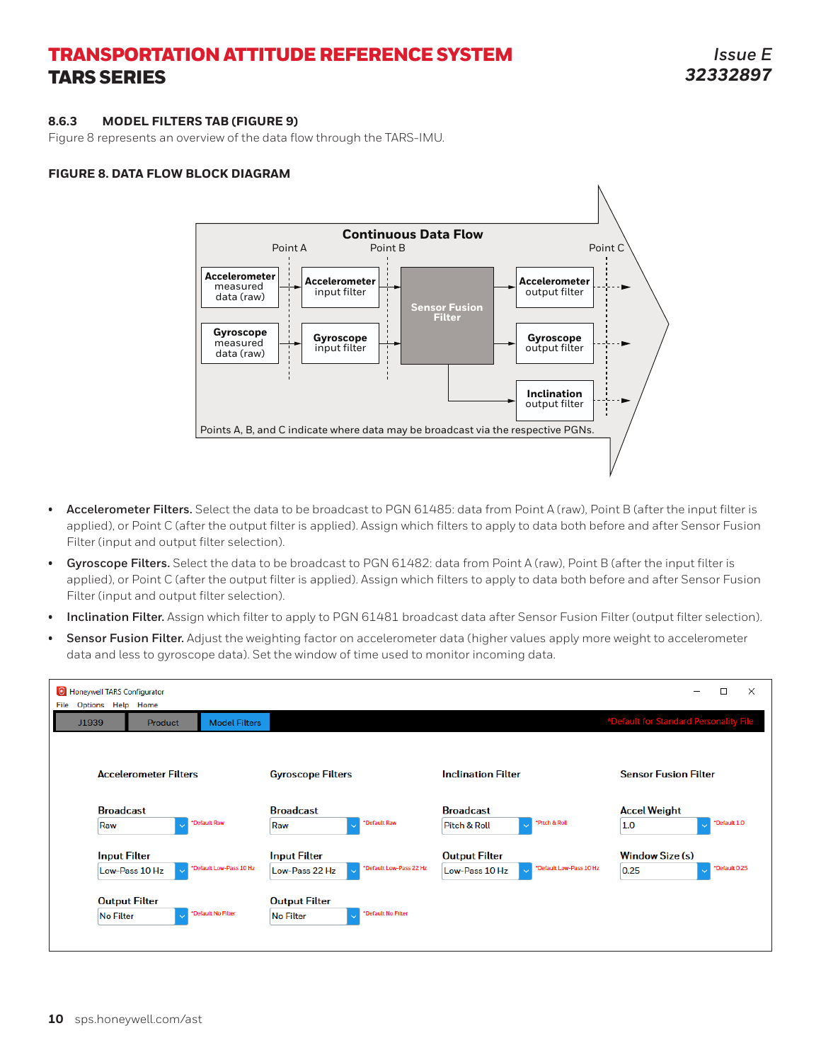#### **8.6.3 MODEL FILTERS TAB (FIGURE 9)**

Figure 8 represents an overview of the data flow through the TARS-IMU.

#### **FIGURE 8. DATA FLOW BLOCK DIAGRAM**



- **• Accelerometer Filters.** Select the data to be broadcast to PGN 61485: data from Point A (raw), Point B (after the input filter is applied), or Point C (after the output filter is applied). Assign which filters to apply to data both before and after Sensor Fusion Filter (input and output filter selection).
- **• Gyroscope Filters.** Select the data to be broadcast to PGN 61482: data from Point A (raw), Point B (after the input filter is applied), or Point C (after the output filter is applied). Assign which filters to apply to data both before and after Sensor Fusion Filter (input and output filter selection).
- **• Inclination Filter.** Assign which filter to apply to PGN 61481 broadcast data after Sensor Fusion Filter (output filter selection).
- **• Sensor Fusion Filter.** Adjust the weighting factor on accelerometer data (higher values apply more weight to accelerometer data and less to gyroscope data). Set the window of time used to monitor incoming data.

| C Honeywell TARS Configurator<br>Options Help Home<br>File |                |                          |                                                    |                           |                                                             |                         |                                        | $\Box$        | $\times$ |
|------------------------------------------------------------|----------------|--------------------------|----------------------------------------------------|---------------------------|-------------------------------------------------------------|-------------------------|----------------------------------------|---------------|----------|
| J1939                                                      | <b>Product</b> | <b>Model Filters</b>     |                                                    |                           |                                                             |                         | *Default for Standard Personality File |               |          |
| <b>Accelerometer Filters</b>                               |                | <b>Gyroscope Filters</b> |                                                    | <b>Inclination Filter</b> | <b>Sensor Fusion Filter</b>                                 |                         |                                        |               |          |
| <b>Broadcast</b><br>Raw                                    |                | *Default Raw             | <b>Broadcast</b><br>Raw<br>$\ddot{\phantom{0}}$    | *Default Raw              | <b>Broadcast</b><br><b>Pitch &amp; Roll</b><br>$\checkmark$ | *Pitch & Roll           | <b>Accel Weight</b><br>1.0             | *Default 1.0  |          |
| <b>Input Filter</b><br>Low-Pass 10 Hz                      |                | *Default Low-Pass 10 Hz  | <b>Input Filter</b><br>Low-Pass 22 Hz<br>k.        | *Default Low-Pass 22 Hz   | <b>Output Filter</b><br>Low-Pass 10 Hz<br>$\checkmark$      | *Default Low-Pass 10 Hz | <b>Window Size (s)</b><br>0.25         | *Default 0.25 |          |
| <b>Output Filter</b><br><b>No Filter</b>                   |                | *Default No Filter       | <b>Output Filter</b><br><b>No Filter</b><br>$\sim$ | *Default No Filter        |                                                             |                         |                                        |               |          |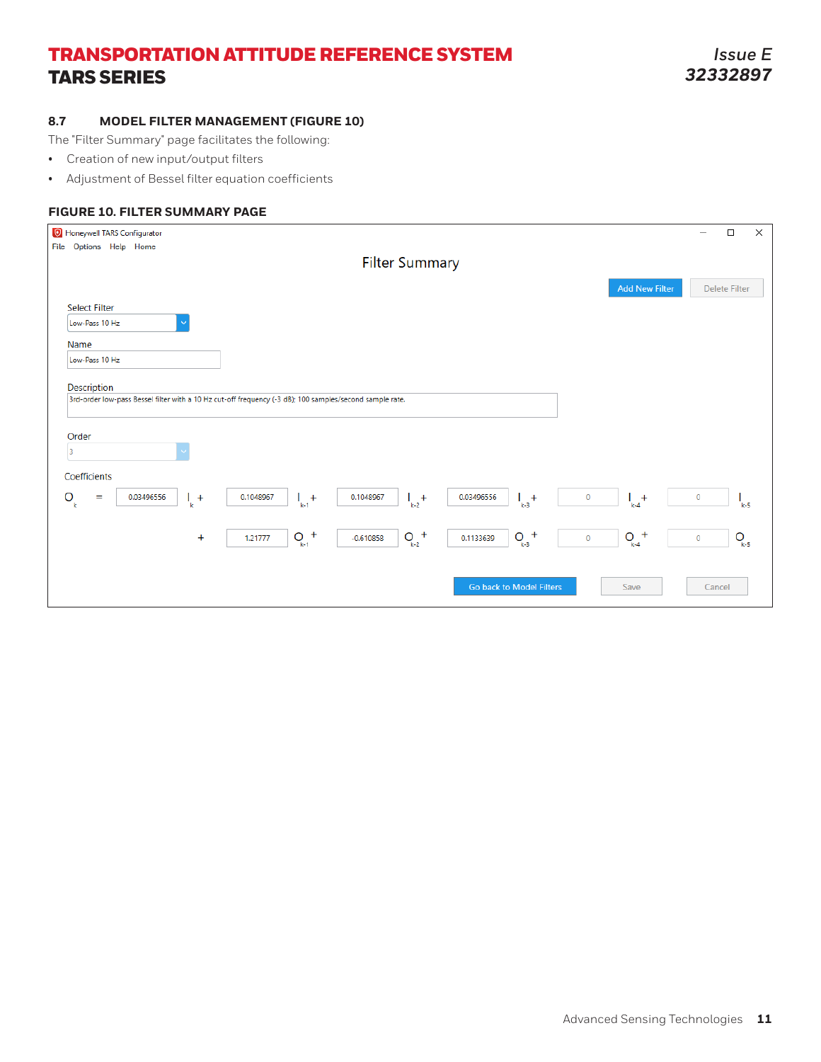### **8.7 MODEL FILTER MANAGEMENT (FIGURE 10)**

The "Filter Summary" page facilitates the following:

- Creation of new input/output filters
- Adjustment of Bessel filter equation coefficients

### **FIGURE 10. FILTER SUMMARY PAGE**

| <sup>O</sup> Honeywell TARS Configurator                                                                                                                                                                                               | $\Box$               | $\times$  |
|----------------------------------------------------------------------------------------------------------------------------------------------------------------------------------------------------------------------------------------|----------------------|-----------|
| File Options Help Home                                                                                                                                                                                                                 |                      |           |
| <b>Filter Summary</b>                                                                                                                                                                                                                  |                      |           |
|                                                                                                                                                                                                                                        | <b>Delete Filter</b> |           |
| <b>Add New Filter</b>                                                                                                                                                                                                                  |                      |           |
| <b>Select Filter</b>                                                                                                                                                                                                                   |                      |           |
| Low-Pass 10 Hz                                                                                                                                                                                                                         |                      |           |
| Name                                                                                                                                                                                                                                   |                      |           |
| Low-Pass 10 Hz                                                                                                                                                                                                                         |                      |           |
|                                                                                                                                                                                                                                        |                      |           |
| Description                                                                                                                                                                                                                            |                      |           |
| 3rd-order low-pass Bessel filter with a 10 Hz cut-off frequency (-3 dB); 100 samples/second sample rate.                                                                                                                               |                      |           |
|                                                                                                                                                                                                                                        |                      |           |
| Order                                                                                                                                                                                                                                  |                      |           |
| $\overline{\mathbf{3}}$                                                                                                                                                                                                                |                      |           |
|                                                                                                                                                                                                                                        |                      |           |
| Coefficients                                                                                                                                                                                                                           |                      |           |
| $\frac{1}{k+1} +$<br>$\mathsf{O}_{\!\scriptscriptstyle k}$<br>$\left  + \right $<br>0.03496556<br>$\frac{1}{k-3}$<br>$\vert +$<br>0.03496556<br>$\frac{1}{k}$ +<br>0.1048967<br>0.1048967<br>$\circ$<br>$\qquad \qquad =\qquad \qquad$ | $\circ$              |           |
| $k-4$<br>$k-2$                                                                                                                                                                                                                         |                      | $k-5$     |
|                                                                                                                                                                                                                                        |                      |           |
| $+$<br>$Q_{k-2}$ <sup>+</sup><br>$Q_{k-3}$ <sup>+</sup><br>$Q_{_{k+4}}^+$<br>$Q_{_{k+1}}$<br>$\ddot{}$<br>$-0.610858$<br>1.21777<br>0.1133639<br>$\circ$                                                                               | $\circ$              | $Q_{k-5}$ |
|                                                                                                                                                                                                                                        |                      |           |
|                                                                                                                                                                                                                                        |                      |           |
| Go back to Model Filters<br>Save                                                                                                                                                                                                       | Cancel               |           |
|                                                                                                                                                                                                                                        |                      |           |